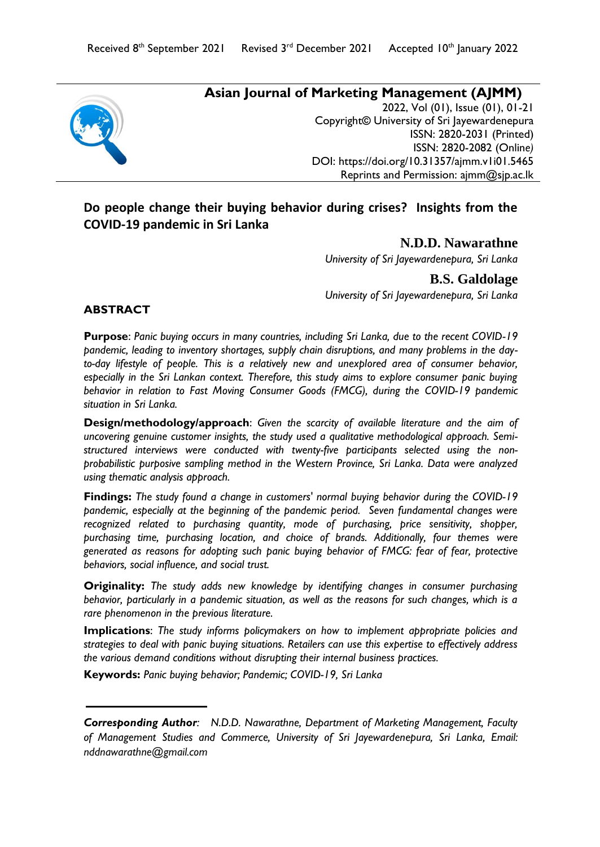

# **Asian Journal of Marketing Management (AJMM)**

2022, Vol (01), Issue (01), 01-21 Copyright*©* University of Sri Jayewardenepura ISSN: 2820-2031 (Printed) ISSN: 2820-2082 (Onlin*e)* DOI:<https://doi.org/10.31357/ajmm.v1i01.5465> Reprints and Permission: ajmm@sjp.ac.lk

# **Do people change their buying behavior during crises? Insights from the COVID-19 pandemic in Sri Lanka**

### **N.D.D. Nawarathne**

*University of Sri Jayewardenepura, Sri Lanka*

**B.S. Galdolage**  *University of Sri Jayewardenepura, Sri Lanka*

### **ABSTRACT**

**Purpose**: *Panic buying occurs in many countries, including Sri Lanka, due to the recent COVID-19 pandemic, leading to inventory shortages, supply chain disruptions, and many problems in the day*to-day lifestyle of people. This is a relatively new and unexplored area of consumer behavior, *especially in the Sri Lankan context. Therefore, this study aims to explore consumer panic buying behavior in relation to Fast Moving Consumer Goods (FMCG), during the COVID-19 pandemic situation in Sri Lanka.* 

**Design/methodology/approach**: *Given the scarcity of available literature and the aim of uncovering genuine customer insights, the study used a qualitative methodological approach. Semistructured interviews were conducted with twenty-five participants selected using the nonprobabilistic purposive sampling method in the Western Province, Sri Lanka. Data were analyzed using thematic analysis approach.*

**Findings:** *The study found a change in customers' normal buying behavior during the COVID-19 pandemic, especially at the beginning of the pandemic period. Seven fundamental changes were recognized related to purchasing quantity, mode of purchasing, price sensitivity, shopper, purchasing time, purchasing location, and choice of brands. Additionally, four themes were generated as reasons for adopting such panic buying behavior of FMCG: fear of fear, protective behaviors, social influence, and social trust.* 

**Originality:** *The study adds new knowledge by identifying changes in consumer purchasing behavior, particularly in a pandemic situation, as well as the reasons for such changes, which is a rare phenomenon in the previous literature.*

**Implications**: *The study informs policymakers on how to implement appropriate policies and strategies to deal with panic buying situations. Retailers can use this expertise to effectively address the various demand conditions without disrupting their internal business practices.*

**Keywords:** *Panic buying behavior; Pandemic; COVID-19, Sri Lanka* 

*Corresponding Author: N.D.D. Nawarathne, Department of Marketing Management, Faculty of Management Studies and Commerce, University of Sri Jayewardenepura, Sri Lanka, Email: [nddnawarathne@g](mailto:nddnawarathne@)mail.com*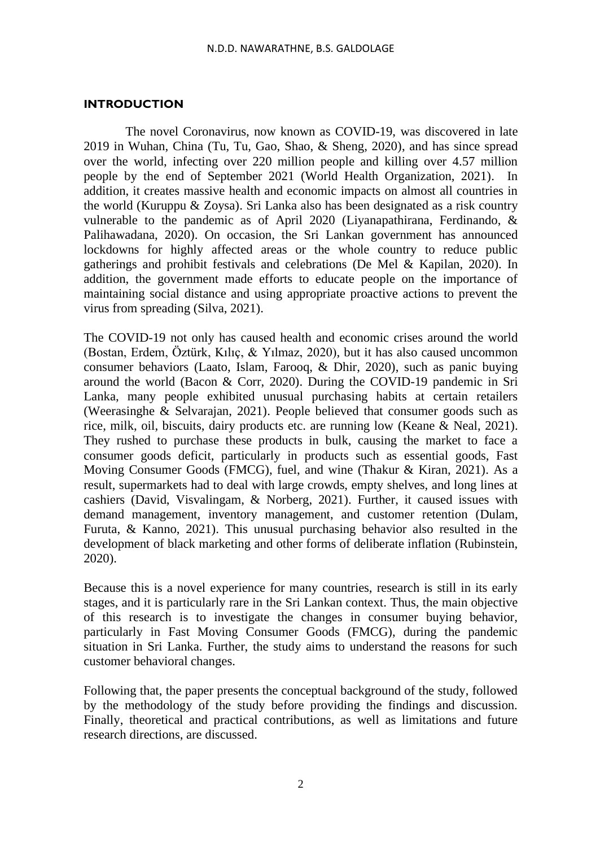#### **INTRODUCTION**

The novel Coronavirus, now known as COVID-19, was discovered in late 2019 in Wuhan, China (Tu, Tu, Gao, Shao, & Sheng, 2020), and has since spread over the world, infecting over 220 million people and killing over 4.57 million people by the end of September 2021 (World Health Organization, 2021). In addition, it creates massive health and economic impacts on almost all countries in the world (Kuruppu & Zoysa). Sri Lanka also has been designated as a risk country vulnerable to the pandemic as of April 2020 (Liyanapathirana, Ferdinando, & Palihawadana, 2020). On occasion, the Sri Lankan government has announced lockdowns for highly affected areas or the whole country to reduce public gatherings and prohibit festivals and celebrations (De Mel & Kapilan, 2020). In addition, the government made efforts to educate people on the importance of maintaining social distance and using appropriate proactive actions to prevent the virus from spreading (Silva, 2021).

The COVID-19 not only has caused health and economic crises around the world (Bostan, Erdem, Öztürk, Kılıç, & Yılmaz, 2020), but it has also caused uncommon consumer behaviors (Laato, Islam, Farooq, & Dhir, 2020), such as panic buying around the world (Bacon & Corr, 2020). During the COVID-19 pandemic in Sri Lanka, many people exhibited unusual purchasing habits at certain retailers (Weerasinghe & Selvarajan, 2021). People believed that consumer goods such as rice, milk, oil, biscuits, dairy products etc. are running low (Keane & Neal, 2021). They rushed to purchase these products in bulk, causing the market to face a consumer goods deficit, particularly in products such as essential goods, Fast Moving Consumer Goods (FMCG), fuel, and wine (Thakur & Kiran, 2021). As a result, supermarkets had to deal with large crowds, empty shelves, and long lines at cashiers (David, Visvalingam, & Norberg, 2021). Further, it caused issues with demand management, inventory management, and customer retention (Dulam, Furuta, & Kanno, 2021). This unusual purchasing behavior also resulted in the development of black marketing and other forms of deliberate inflation (Rubinstein, 2020).

Because this is a novel experience for many countries, research is still in its early stages, and it is particularly rare in the Sri Lankan context. Thus, the main objective of this research is to investigate the changes in consumer buying behavior, particularly in Fast Moving Consumer Goods (FMCG), during the pandemic situation in Sri Lanka. Further, the study aims to understand the reasons for such customer behavioral changes.

Following that, the paper presents the conceptual background of the study, followed by the methodology of the study before providing the findings and discussion. Finally, theoretical and practical contributions, as well as limitations and future research directions, are discussed.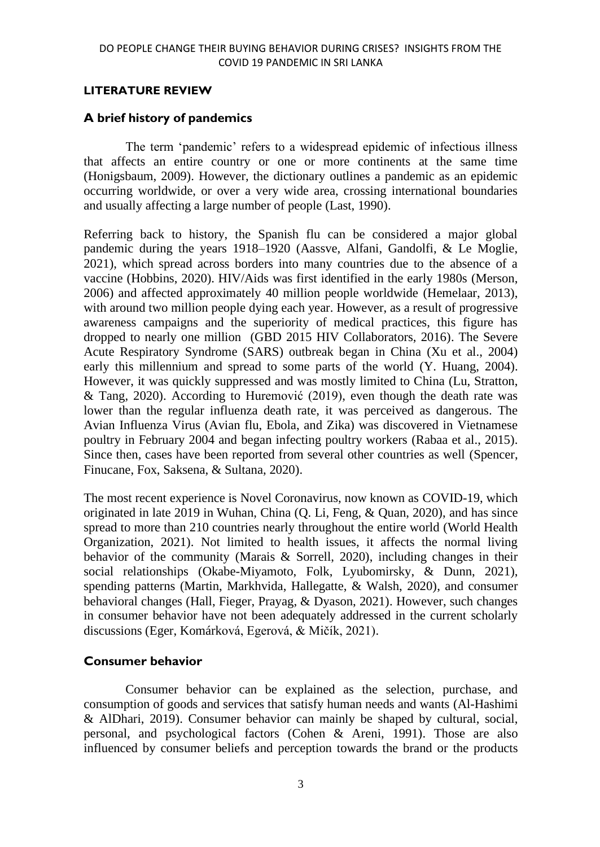### **LITERATURE REVIEW**

# **A brief history of pandemics**

The term 'pandemic' refers to a widespread epidemic of infectious illness that affects an entire country or one or more continents at the same time (Honigsbaum, 2009). However, the dictionary outlines a pandemic as an epidemic occurring worldwide, or over a very wide area, crossing international boundaries and usually affecting a large number of people (Last, 1990).

Referring back to history, the Spanish flu can be considered a major global pandemic during the years 1918–1920 (Aassve, Alfani, Gandolfi, & Le Moglie, 2021), which spread across borders into many countries due to the absence of a vaccine (Hobbins, 2020). HIV/Aids was first identified in the early 1980s (Merson, 2006) and affected approximately 40 million people worldwide (Hemelaar, 2013), with around two million people dying each year. However, as a result of progressive awareness campaigns and the superiority of medical practices, this figure has dropped to nearly one million (GBD 2015 HIV Collaborators, 2016). The Severe Acute Respiratory Syndrome (SARS) outbreak began in China (Xu et al., 2004) early this millennium and spread to some parts of the world (Y. Huang, 2004). However, it was quickly suppressed and was mostly limited to China (Lu, Stratton, & Tang, 2020). According to Huremović (2019), even though the death rate was lower than the regular influenza death rate, it was perceived as dangerous. The Avian Influenza Virus (Avian flu, Ebola, and Zika) was discovered in Vietnamese poultry in February 2004 and began infecting poultry workers (Rabaa et al., 2015). Since then, cases have been reported from several other countries as well (Spencer, Finucane, Fox, Saksena, & Sultana, 2020).

The most recent experience is Novel Coronavirus, now known as COVID-19, which originated in late 2019 in Wuhan, China (Q. Li, Feng, & Quan, 2020), and has since spread to more than 210 countries nearly throughout the entire world (World Health Organization, 2021). Not limited to health issues, it affects the normal living behavior of the community (Marais & Sorrell, 2020), including changes in their social relationships (Okabe-Miyamoto, Folk, Lyubomirsky, & Dunn, 2021), spending patterns (Martin, Markhvida, Hallegatte, & Walsh, 2020), and consumer behavioral changes (Hall, Fieger, Prayag, & Dyason, 2021). However, such changes in consumer behavior have not been adequately addressed in the current scholarly discussions (Eger, Komárková, Egerová, & Mičík, 2021).

# **Consumer behavior**

 Consumer behavior can be explained as the selection, purchase, and consumption of goods and services that satisfy human needs and wants (Al-Hashimi & AlDhari, 2019). Consumer behavior can mainly be shaped by cultural, social, personal, and psychological factors (Cohen & Areni, 1991). Those are also influenced by consumer beliefs and perception towards the brand or the products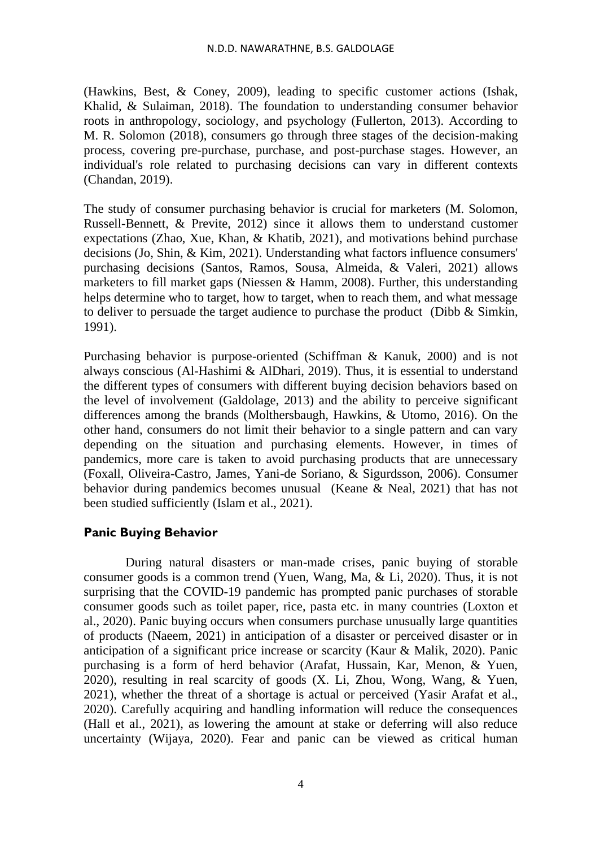(Hawkins, Best, & Coney, 2009), leading to specific customer actions (Ishak, Khalid, & Sulaiman, 2018). The foundation to understanding consumer behavior roots in anthropology, sociology, and psychology (Fullerton, 2013). According to M. R. Solomon (2018), consumers go through three stages of the decision-making process, covering pre-purchase, purchase, and post-purchase stages. However, an individual's role related to purchasing decisions can vary in different contexts (Chandan, 2019).

The study of consumer purchasing behavior is crucial for marketers (M. Solomon, Russell-Bennett, & Previte, 2012) since it allows them to understand customer expectations (Zhao, Xue, Khan, & Khatib, 2021), and motivations behind purchase decisions (Jo, Shin, & Kim, 2021). Understanding what factors influence consumers' purchasing decisions (Santos, Ramos, Sousa, Almeida, & Valeri, 2021) allows marketers to fill market gaps (Niessen & Hamm, 2008). Further, this understanding helps determine who to target, how to target, when to reach them, and what message to deliver to persuade the target audience to purchase the product (Dibb  $& Simkin$ , 1991).

Purchasing behavior is purpose-oriented (Schiffman & Kanuk, 2000) and is not always conscious (Al-Hashimi & AlDhari, 2019). Thus, it is essential to understand the different types of consumers with different buying decision behaviors based on the level of involvement (Galdolage, 2013) and the ability to perceive significant differences among the brands (Molthersbaugh, Hawkins, & Utomo, 2016). On the other hand, consumers do not limit their behavior to a single pattern and can vary depending on the situation and purchasing elements. However, in times of pandemics, more care is taken to avoid purchasing products that are unnecessary (Foxall, Oliveira-Castro, James, Yani-de Soriano, & Sigurdsson, 2006). Consumer behavior during pandemics becomes unusual (Keane & Neal, 2021) that has not been studied sufficiently (Islam et al., 2021).

# **Panic Buying Behavior**

During natural disasters or man-made crises, panic buying of storable consumer goods is a common trend (Yuen, Wang, Ma, & Li, 2020). Thus, it is not surprising that the COVID-19 pandemic has prompted panic purchases of storable consumer goods such as toilet paper, rice, pasta etc. in many countries (Loxton et al., 2020). Panic buying occurs when consumers purchase unusually large quantities of products (Naeem, 2021) in anticipation of a disaster or perceived disaster or in anticipation of a significant price increase or scarcity (Kaur & Malik, 2020). Panic purchasing is a form of herd behavior (Arafat, Hussain, Kar, Menon, & Yuen, 2020), resulting in real scarcity of goods (X. Li, Zhou, Wong, Wang, & Yuen, 2021), whether the threat of a shortage is actual or perceived (Yasir Arafat et al., 2020). Carefully acquiring and handling information will reduce the consequences (Hall et al., 2021), as lowering the amount at stake or deferring will also reduce uncertainty (Wijaya, 2020). Fear and panic can be viewed as critical human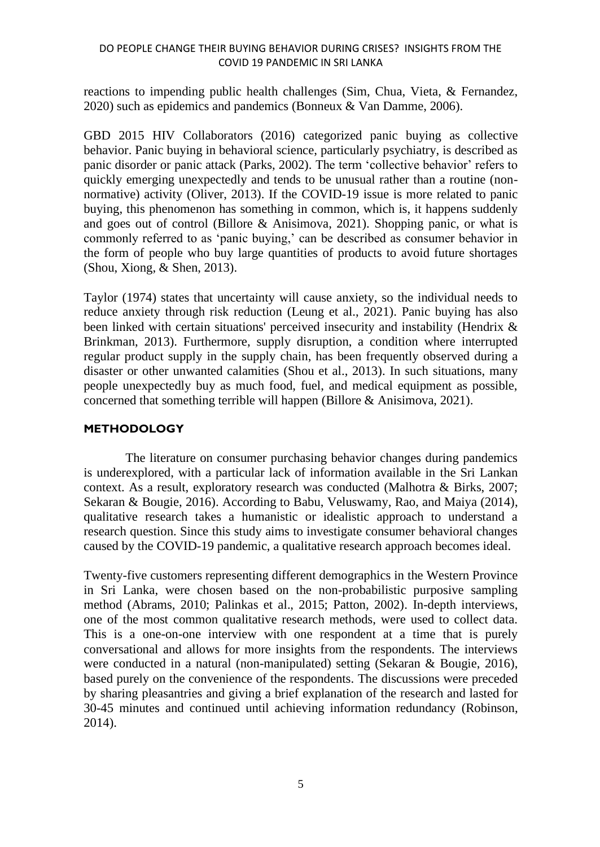### DO PEOPLE CHANGE THEIR BUYING BEHAVIOR DURING CRISES? INSIGHTS FROM THE COVID 19 PANDEMIC IN SRI LANKA

reactions to impending public health challenges (Sim, Chua, Vieta, & Fernandez, 2020) such as epidemics and pandemics (Bonneux & Van Damme, 2006).

GBD 2015 HIV Collaborators (2016) categorized panic buying as collective behavior. Panic buying in behavioral science, particularly psychiatry, is described as panic disorder or panic attack (Parks, 2002). The term 'collective behavior' refers to quickly emerging unexpectedly and tends to be unusual rather than a routine (nonnormative) activity (Oliver, 2013). If the COVID-19 issue is more related to panic buying, this phenomenon has something in common, which is, it happens suddenly and goes out of control (Billore & Anisimova, 2021). Shopping panic, or what is commonly referred to as 'panic buying,' can be described as consumer behavior in the form of people who buy large quantities of products to avoid future shortages (Shou, Xiong, & Shen, 2013).

Taylor (1974) states that uncertainty will cause anxiety, so the individual needs to reduce anxiety through risk reduction (Leung et al., 2021). Panic buying has also been linked with certain situations' perceived insecurity and instability (Hendrix & Brinkman, 2013). Furthermore, supply disruption, a condition where interrupted regular product supply in the supply chain, has been frequently observed during a disaster or other unwanted calamities (Shou et al., 2013). In such situations, many people unexpectedly buy as much food, fuel, and medical equipment as possible, concerned that something terrible will happen (Billore & Anisimova, 2021).

### **METHODOLOGY**

The literature on consumer purchasing behavior changes during pandemics is underexplored, with a particular lack of information available in the Sri Lankan context. As a result, exploratory research was conducted (Malhotra & Birks, 2007; Sekaran & Bougie, 2016). According to Babu, Veluswamy, Rao, and Maiya (2014), qualitative research takes a humanistic or idealistic approach to understand a research question. Since this study aims to investigate consumer behavioral changes caused by the COVID-19 pandemic, a qualitative research approach becomes ideal.

Twenty-five customers representing different demographics in the Western Province in Sri Lanka, were chosen based on the non-probabilistic purposive sampling method (Abrams, 2010; Palinkas et al., 2015; Patton, 2002). In-depth interviews, one of the most common qualitative research methods, were used to collect data. This is a one-on-one interview with one respondent at a time that is purely conversational and allows for more insights from the respondents. The interviews were conducted in a natural (non-manipulated) setting (Sekaran & Bougie, 2016), based purely on the convenience of the respondents. The discussions were preceded by sharing pleasantries and giving a brief explanation of the research and lasted for 30-45 minutes and continued until achieving information redundancy (Robinson, 2014).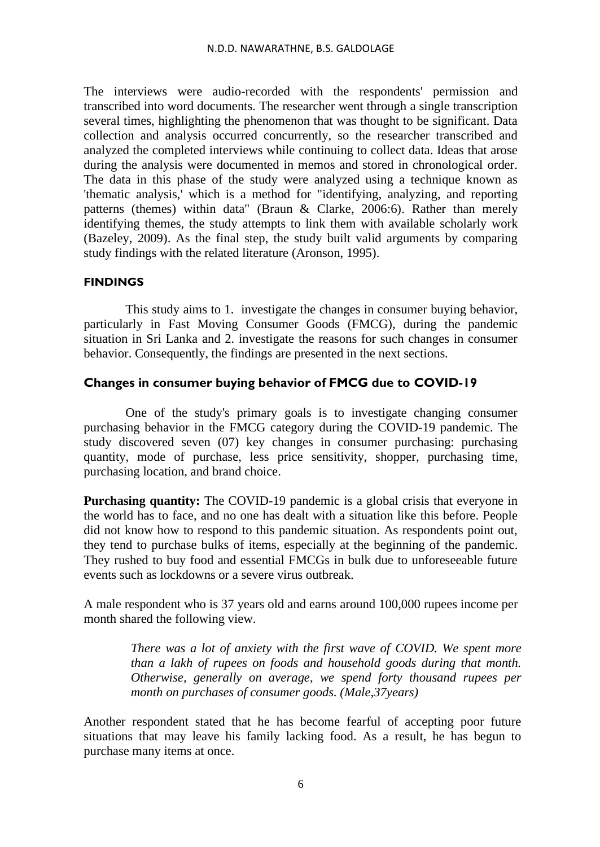The interviews were audio-recorded with the respondents' permission and transcribed into word documents. The researcher went through a single transcription several times, highlighting the phenomenon that was thought to be significant. Data collection and analysis occurred concurrently, so the researcher transcribed and analyzed the completed interviews while continuing to collect data. Ideas that arose during the analysis were documented in memos and stored in chronological order. The data in this phase of the study were analyzed using a technique known as 'thematic analysis,' which is a method for "identifying, analyzing, and reporting patterns (themes) within data" (Braun & Clarke, 2006:6). Rather than merely identifying themes, the study attempts to link them with available scholarly work (Bazeley, 2009). As the final step, the study built valid arguments by comparing study findings with the related literature (Aronson, 1995).

### **FINDINGS**

This study aims to 1. investigate the changes in consumer buying behavior, particularly in Fast Moving Consumer Goods (FMCG), during the pandemic situation in Sri Lanka and 2. investigate the reasons for such changes in consumer behavior. Consequently, the findings are presented in the next sections.

### **Changes in consumer buying behavior of FMCG due to COVID-19**

One of the study's primary goals is to investigate changing consumer purchasing behavior in the FMCG category during the COVID-19 pandemic. The study discovered seven (07) key changes in consumer purchasing: purchasing quantity, mode of purchase, less price sensitivity, shopper, purchasing time, purchasing location, and brand choice.

Purchasing quantity: The COVID-19 pandemic is a global crisis that everyone in the world has to face, and no one has dealt with a situation like this before. People did not know how to respond to this pandemic situation. As respondents point out, they tend to purchase bulks of items, especially at the beginning of the pandemic. They rushed to buy food and essential FMCGs in bulk due to unforeseeable future events such as lockdowns or a severe virus outbreak.

A male respondent who is 37 years old and earns around 100,000 rupees income per month shared the following view.

> *There was a lot of anxiety with the first wave of COVID. We spent more than a lakh of rupees on foods and household goods during that month. Otherwise, generally on average, we spend forty thousand rupees per month on purchases of consumer goods. (Male,37years)*

Another respondent stated that he has become fearful of accepting poor future situations that may leave his family lacking food. As a result, he has begun to purchase many items at once.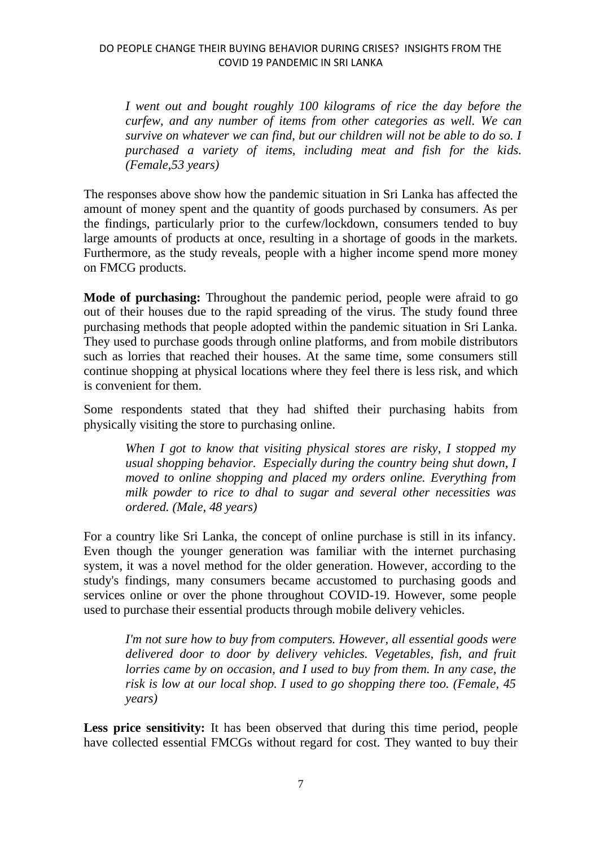*I went out and bought roughly 100 kilograms of rice the day before the curfew, and any number of items from other categories as well. We can survive on whatever we can find, but our children will not be able to do so. I purchased a variety of items, including meat and fish for the kids. (Female,53 years)*

The responses above show how the pandemic situation in Sri Lanka has affected the amount of money spent and the quantity of goods purchased by consumers. As per the findings, particularly prior to the curfew/lockdown, consumers tended to buy large amounts of products at once, resulting in a shortage of goods in the markets. Furthermore, as the study reveals, people with a higher income spend more money on FMCG products.

**Mode of purchasing:** Throughout the pandemic period, people were afraid to go out of their houses due to the rapid spreading of the virus. The study found three purchasing methods that people adopted within the pandemic situation in Sri Lanka. They used to purchase goods through online platforms, and from mobile distributors such as lorries that reached their houses. At the same time, some consumers still continue shopping at physical locations where they feel there is less risk, and which is convenient for them.

Some respondents stated that they had shifted their purchasing habits from physically visiting the store to purchasing online.

*When I got to know that visiting physical stores are risky, I stopped my usual shopping behavior. Especially during the country being shut down, I moved to online shopping and placed my orders online. Everything from milk powder to rice to dhal to sugar and several other necessities was ordered. (Male, 48 years)* 

For a country like Sri Lanka, the concept of online purchase is still in its infancy. Even though the younger generation was familiar with the internet purchasing system, it was a novel method for the older generation. However, according to the study's findings, many consumers became accustomed to purchasing goods and services online or over the phone throughout COVID-19. However, some people used to purchase their essential products through mobile delivery vehicles.

*I'm not sure how to buy from computers. However, all essential goods were delivered door to door by delivery vehicles. Vegetables, fish, and fruit lorries came by on occasion, and I used to buy from them. In any case, the risk is low at our local shop. I used to go shopping there too. (Female, 45 years)*

**Less price sensitivity:** It has been observed that during this time period, people have collected essential FMCGs without regard for cost. They wanted to buy their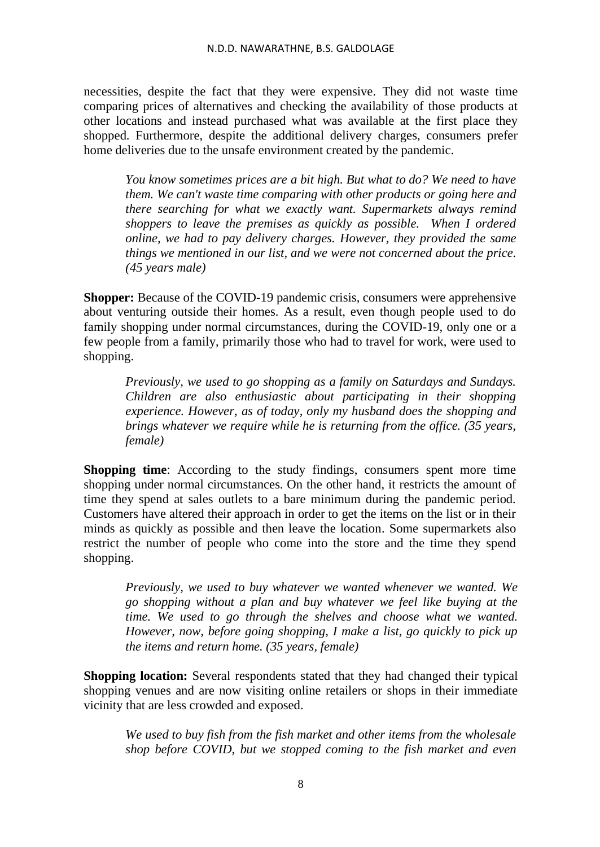necessities, despite the fact that they were expensive. They did not waste time comparing prices of alternatives and checking the availability of those products at other locations and instead purchased what was available at the first place they shopped. Furthermore, despite the additional delivery charges, consumers prefer home deliveries due to the unsafe environment created by the pandemic.

*You know sometimes prices are a bit high. But what to do? We need to have them. We can't waste time comparing with other products or going here and there searching for what we exactly want. Supermarkets always remind shoppers to leave the premises as quickly as possible. When I ordered online, we had to pay delivery charges. However, they provided the same things we mentioned in our list, and we were not concerned about the price. (45 years male)* 

**Shopper:** Because of the COVID-19 pandemic crisis, consumers were apprehensive about venturing outside their homes. As a result, even though people used to do family shopping under normal circumstances, during the COVID-19, only one or a few people from a family, primarily those who had to travel for work, were used to shopping.

*Previously, we used to go shopping as a family on Saturdays and Sundays. Children are also enthusiastic about participating in their shopping experience. However, as of today, only my husband does the shopping and brings whatever we require while he is returning from the office. (35 years, female)*

**Shopping time**: According to the study findings, consumers spent more time shopping under normal circumstances. On the other hand, it restricts the amount of time they spend at sales outlets to a bare minimum during the pandemic period. Customers have altered their approach in order to get the items on the list or in their minds as quickly as possible and then leave the location. Some supermarkets also restrict the number of people who come into the store and the time they spend shopping.

*Previously, we used to buy whatever we wanted whenever we wanted. We go shopping without a plan and buy whatever we feel like buying at the time. We used to go through the shelves and choose what we wanted. However, now, before going shopping, I make a list, go quickly to pick up the items and return home. (35 years, female)*

**Shopping location:** Several respondents stated that they had changed their typical shopping venues and are now visiting online retailers or shops in their immediate vicinity that are less crowded and exposed.

*We used to buy fish from the fish market and other items from the wholesale shop before COVID, but we stopped coming to the fish market and even*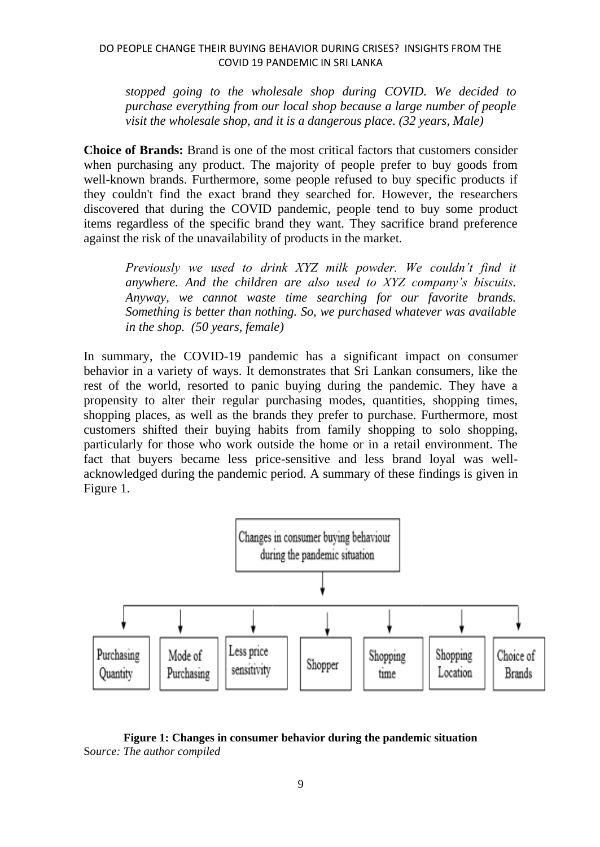### DO PEOPLE CHANGE THEIR BUYING BEHAVIOR DURING CRISES? INSIGHTS FROM THE COVID 19 PANDEMIC IN SRI LANKA

*stopped going to the wholesale shop during COVID. We decided to purchase everything from our local shop because a large number of people visit the wholesale shop, and it is a dangerous place. (32 years, Male)*

**Choice of Brands:** Brand is one of the most critical factors that customers consider when purchasing any product. The majority of people prefer to buy goods from well-known brands. Furthermore, some people refused to buy specific products if they couldn't find the exact brand they searched for. However, the researchers discovered that during the COVID pandemic, people tend to buy some product items regardless of the specific brand they want. They sacrifice brand preference against the risk of the unavailability of products in the market.

*Previously we used to drink XYZ milk powder. We couldn't find it anywhere. And the children are also used to XYZ company's biscuits. Anyway, we cannot waste time searching for our favorite brands. Something is better than nothing. So, we purchased whatever was available in the shop. (50 years, female)*

In summary, the COVID-19 pandemic has a significant impact on consumer behavior in a variety of ways. It demonstrates that Sri Lankan consumers, like the rest of the world, resorted to panic buying during the pandemic. They have a propensity to alter their regular purchasing modes, quantities, shopping times, shopping places, as well as the brands they prefer to purchase. Furthermore, most customers shifted their buying habits from family shopping to solo shopping, particularly for those who work outside the home or in a retail environment. The fact that buyers became less price-sensitive and less brand loyal was wellacknowledged during the pandemic period. A summary of these findings is given in Figure 1.



### **Figure 1: Changes in consumer behavior during the pandemic situation** S*ource: The author compiled*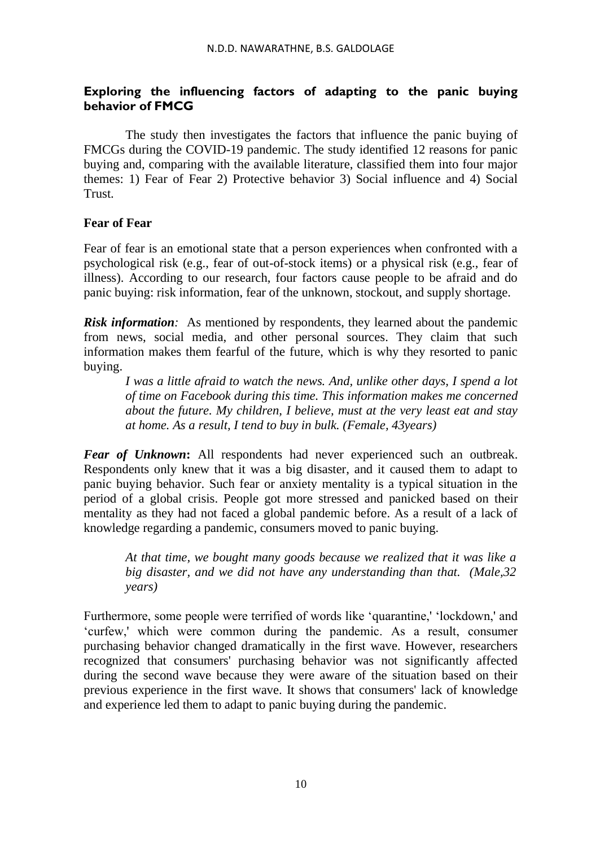# **Exploring the influencing factors of adapting to the panic buying behavior of FMCG**

The study then investigates the factors that influence the panic buying of FMCGs during the COVID-19 pandemic. The study identified 12 reasons for panic buying and, comparing with the available literature, classified them into four major themes: 1) Fear of Fear 2) Protective behavior 3) Social influence and 4) Social **Trust** 

# **Fear of Fear**

Fear of fear is an emotional state that a person experiences when confronted with a psychological risk (e.g., fear of out-of-stock items) or a physical risk (e.g., fear of illness). According to our research, four factors cause people to be afraid and do panic buying: risk information, fear of the unknown, stockout, and supply shortage.

*Risk information:* As mentioned by respondents, they learned about the pandemic from news, social media, and other personal sources. They claim that such information makes them fearful of the future, which is why they resorted to panic buying.

*I was a little afraid to watch the news. And, unlike other days, I spend a lot of time on Facebook during this time. This information makes me concerned about the future. My children, I believe, must at the very least eat and stay at home. As a result, I tend to buy in bulk. (Female, 43years)*

*Fear of Unknown***:** All respondents had never experienced such an outbreak. Respondents only knew that it was a big disaster, and it caused them to adapt to panic buying behavior. Such fear or anxiety mentality is a typical situation in the period of a global crisis. People got more stressed and panicked based on their mentality as they had not faced a global pandemic before. As a result of a lack of knowledge regarding a pandemic, consumers moved to panic buying.

*At that time, we bought many goods because we realized that it was like a big disaster, and we did not have any understanding than that. (Male,32 years)* 

Furthermore, some people were terrified of words like 'quarantine,' 'lockdown,' and 'curfew,' which were common during the pandemic. As a result, consumer purchasing behavior changed dramatically in the first wave. However, researchers recognized that consumers' purchasing behavior was not significantly affected during the second wave because they were aware of the situation based on their previous experience in the first wave. It shows that consumers' lack of knowledge and experience led them to adapt to panic buying during the pandemic.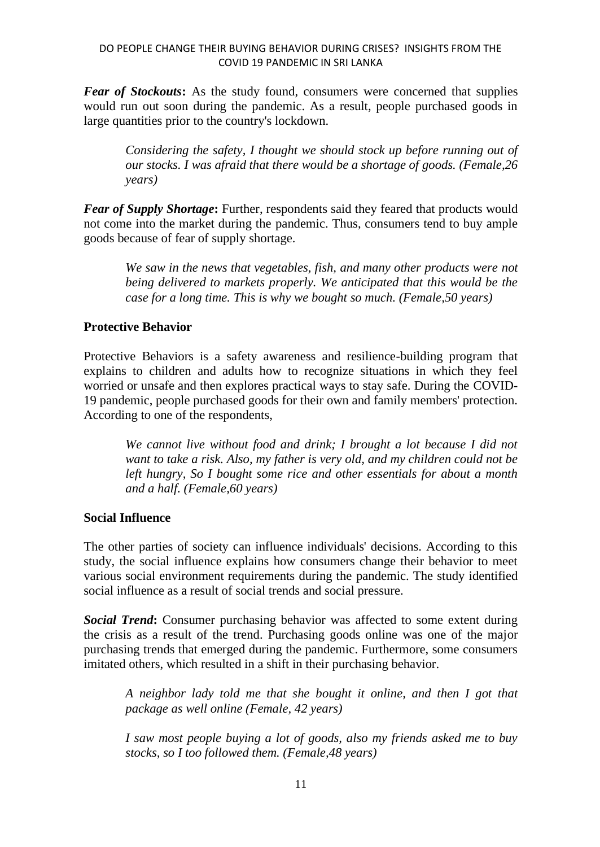*Fear of Stockouts***:** As the study found, consumers were concerned that supplies would run out soon during the pandemic. As a result, people purchased goods in large quantities prior to the country's lockdown.

*Considering the safety, I thought we should stock up before running out of our stocks. I was afraid that there would be a shortage of goods. (Female,26 years)* 

*Fear of Supply Shortage***:** Further, respondents said they feared that products would not come into the market during the pandemic. Thus, consumers tend to buy ample goods because of fear of supply shortage.

*We saw in the news that vegetables, fish, and many other products were not being delivered to markets properly. We anticipated that this would be the case for a long time. This is why we bought so much. (Female,50 years)*

# **Protective Behavior**

Protective Behaviors is a safety awareness and resilience-building program that explains to children and adults how to recognize situations in which they feel worried or unsafe and then explores practical ways to stay safe. During the COVID-19 pandemic, people purchased goods for their own and family members' protection. According to one of the respondents,

*We cannot live without food and drink; I brought a lot because I did not want to take a risk. Also, my father is very old, and my children could not be left hungry, So I bought some rice and other essentials for about a month and a half. (Female,60 years)*

### **Social Influence**

The other parties of society can influence individuals' decisions. According to this study, the social influence explains how consumers change their behavior to meet various social environment requirements during the pandemic. The study identified social influence as a result of social trends and social pressure.

*Social Trend***:** Consumer purchasing behavior was affected to some extent during the crisis as a result of the trend. Purchasing goods online was one of the major purchasing trends that emerged during the pandemic. Furthermore, some consumers imitated others, which resulted in a shift in their purchasing behavior.

*A neighbor lady told me that she bought it online, and then I got that package as well online (Female, 42 years)* 

*I saw most people buying a lot of goods, also my friends asked me to buy stocks, so I too followed them. (Female,48 years)*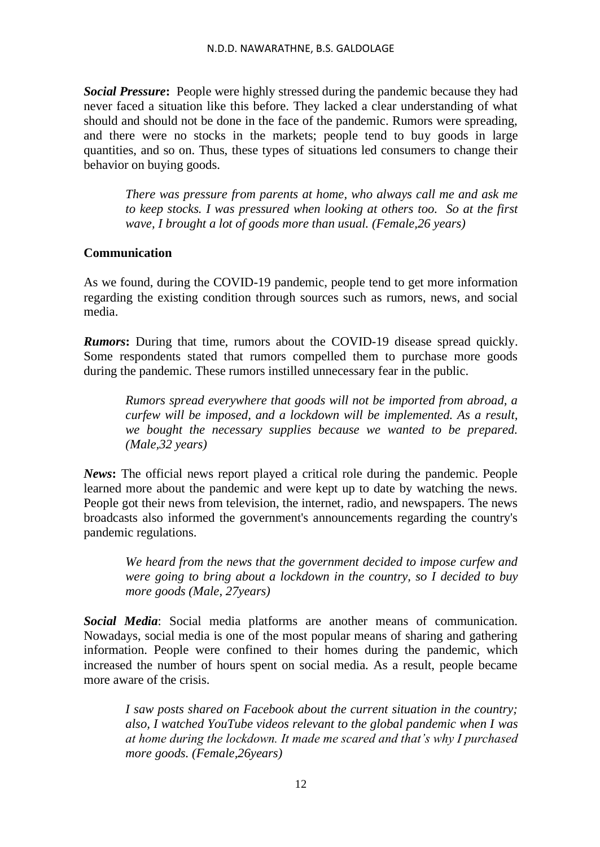*Social Pressure***:** People were highly stressed during the pandemic because they had never faced a situation like this before. They lacked a clear understanding of what should and should not be done in the face of the pandemic. Rumors were spreading, and there were no stocks in the markets; people tend to buy goods in large quantities, and so on. Thus, these types of situations led consumers to change their behavior on buying goods.

*There was pressure from parents at home, who always call me and ask me to keep stocks. I was pressured when looking at others too. So at the first wave, I brought a lot of goods more than usual. (Female,26 years)* 

# **Communication**

As we found, during the COVID-19 pandemic, people tend to get more information regarding the existing condition through sources such as rumors, news, and social media.

*Rumors***:** During that time, rumors about the COVID-19 disease spread quickly. Some respondents stated that rumors compelled them to purchase more goods during the pandemic. These rumors instilled unnecessary fear in the public.

*Rumors spread everywhere that goods will not be imported from abroad, a curfew will be imposed, and a lockdown will be implemented. As a result, we bought the necessary supplies because we wanted to be prepared. (Male,32 years)*

*News***:** The official news report played a critical role during the pandemic. People learned more about the pandemic and were kept up to date by watching the news. People got their news from television, the internet, radio, and newspapers. The news broadcasts also informed the government's announcements regarding the country's pandemic regulations.

*We heard from the news that the government decided to impose curfew and were going to bring about a lockdown in the country, so I decided to buy more goods (Male, 27years)* 

*Social Media*: Social media platforms are another means of communication. Nowadays, social media is one of the most popular means of sharing and gathering information. People were confined to their homes during the pandemic, which increased the number of hours spent on social media. As a result, people became more aware of the crisis.

*I saw posts shared on Facebook about the current situation in the country; also, I watched YouTube videos relevant to the global pandemic when I was at home during the lockdown. It made me scared and that's why I purchased more goods. (Female,26years)*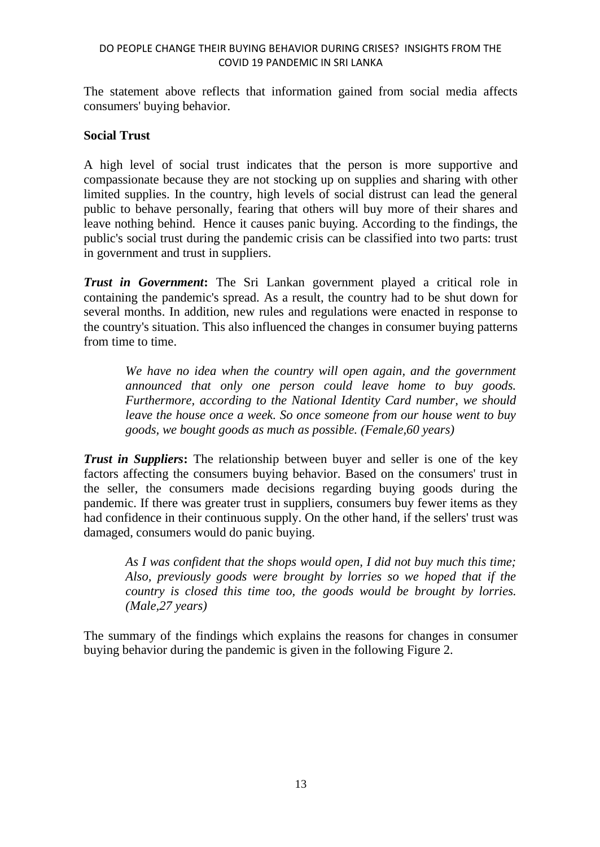### DO PEOPLE CHANGE THEIR BUYING BEHAVIOR DURING CRISES? INSIGHTS FROM THE COVID 19 PANDEMIC IN SRI LANKA

The statement above reflects that information gained from social media affects consumers' buying behavior.

### **Social Trust**

A high level of social trust indicates that the person is more supportive and compassionate because they are not stocking up on supplies and sharing with other limited supplies. In the country, high levels of social distrust can lead the general public to behave personally, fearing that others will buy more of their shares and leave nothing behind. Hence it causes panic buying. According to the findings, the public's social trust during the pandemic crisis can be classified into two parts: trust in government and trust in suppliers.

*Trust in Government***:** The Sri Lankan government played a critical role in containing the pandemic's spread. As a result, the country had to be shut down for several months. In addition, new rules and regulations were enacted in response to the country's situation. This also influenced the changes in consumer buying patterns from time to time.

*We have no idea when the country will open again, and the government announced that only one person could leave home to buy goods. Furthermore, according to the National Identity Card number, we should leave the house once a week. So once someone from our house went to buy goods, we bought goods as much as possible. (Female,60 years)*

*Trust in Suppliers***:** The relationship between buyer and seller is one of the key factors affecting the consumers buying behavior. Based on the consumers' trust in the seller, the consumers made decisions regarding buying goods during the pandemic. If there was greater trust in suppliers, consumers buy fewer items as they had confidence in their continuous supply. On the other hand, if the sellers' trust was damaged, consumers would do panic buying.

*As I was confident that the shops would open, I did not buy much this time; Also, previously goods were brought by lorries so we hoped that if the country is closed this time too, the goods would be brought by lorries. (Male,27 years)*

The summary of the findings which explains the reasons for changes in consumer buying behavior during the pandemic is given in the following Figure 2.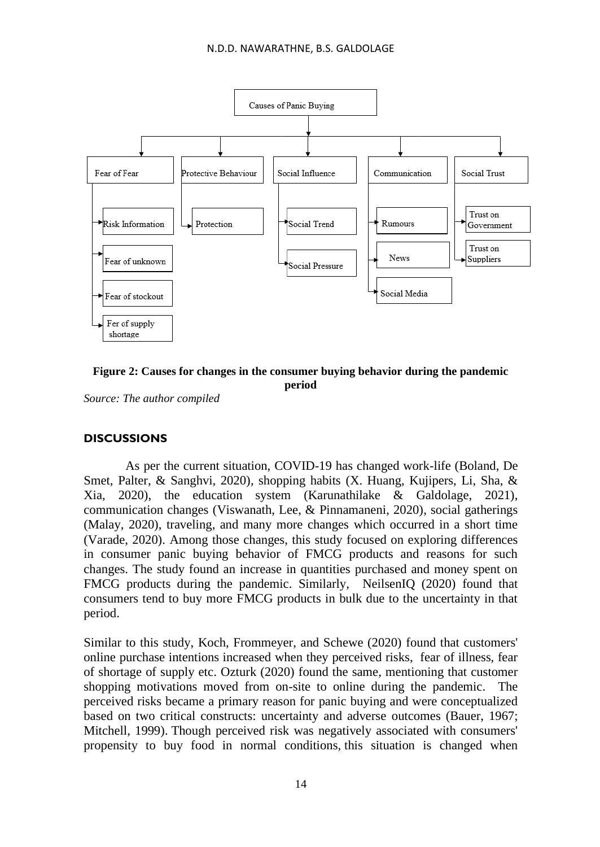



*Source: The author compiled*

# **DISCUSSIONS**

As per the current situation, COVID-19 has changed work-life (Boland, De Smet, Palter, & Sanghvi, 2020), shopping habits (X. Huang, Kujipers, Li, Sha, & Xia, 2020), the education system (Karunathilake & Galdolage, 2021), communication changes (Viswanath, Lee, & Pinnamaneni, 2020), social gatherings (Malay, 2020), traveling, and many more changes which occurred in a short time (Varade, 2020). Among those changes, this study focused on exploring differences in consumer panic buying behavior of FMCG products and reasons for such changes. The study found an increase in quantities purchased and money spent on FMCG products during the pandemic. Similarly, NeilsenIQ (2020) found that consumers tend to buy more FMCG products in bulk due to the uncertainty in that period.

Similar to this study, Koch, Frommeyer, and Schewe (2020) found that customers' online purchase intentions increased when they perceived risks, fear of illness, fear of shortage of supply etc. Ozturk (2020) found the same, mentioning that customer shopping motivations moved from on-site to online during the pandemic. The perceived risks became a primary reason for panic buying and were conceptualized based on two critical constructs: uncertainty and adverse outcomes (Bauer, 1967; Mitchell, 1999). Though perceived risk was negatively associated with consumers' propensity to buy food in normal conditions, this situation is changed when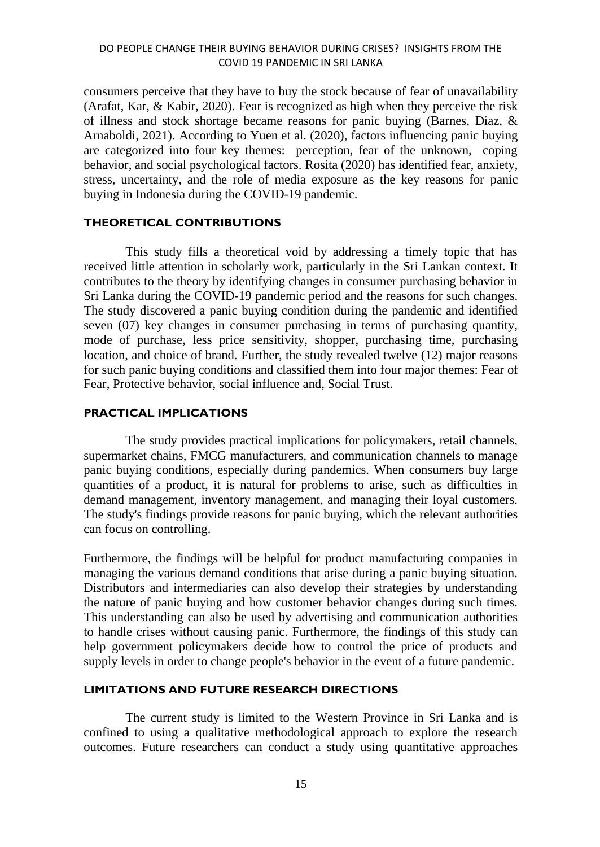consumers perceive that they have to buy the stock because of fear of unavailability (Arafat, Kar, & Kabir, 2020). Fear is recognized as high when they perceive the risk of illness and stock shortage became reasons for panic buying (Barnes, Diaz, & Arnaboldi, 2021). According to Yuen et al. (2020), factors influencing panic buying are categorized into four key themes: perception, fear of the unknown, coping behavior, and social psychological factors. Rosita (2020) has identified fear, anxiety, stress, uncertainty, and the role of media exposure as the key reasons for panic buying in Indonesia during the COVID-19 pandemic.

# **THEORETICAL CONTRIBUTIONS**

This study fills a theoretical void by addressing a timely topic that has received little attention in scholarly work, particularly in the Sri Lankan context. It contributes to the theory by identifying changes in consumer purchasing behavior in Sri Lanka during the COVID-19 pandemic period and the reasons for such changes. The study discovered a panic buying condition during the pandemic and identified seven (07) key changes in consumer purchasing in terms of purchasing quantity, mode of purchase, less price sensitivity, shopper, purchasing time, purchasing location, and choice of brand. Further, the study revealed twelve (12) major reasons for such panic buying conditions and classified them into four major themes: Fear of Fear, Protective behavior, social influence and, Social Trust.

#### **PRACTICAL IMPLICATIONS**

The study provides practical implications for policymakers, retail channels, supermarket chains, FMCG manufacturers, and communication channels to manage panic buying conditions, especially during pandemics. When consumers buy large quantities of a product, it is natural for problems to arise, such as difficulties in demand management, inventory management, and managing their loyal customers. The study's findings provide reasons for panic buying, which the relevant authorities can focus on controlling.

Furthermore, the findings will be helpful for product manufacturing companies in managing the various demand conditions that arise during a panic buying situation. Distributors and intermediaries can also develop their strategies by understanding the nature of panic buying and how customer behavior changes during such times. This understanding can also be used by advertising and communication authorities to handle crises without causing panic. Furthermore, the findings of this study can help government policymakers decide how to control the price of products and supply levels in order to change people's behavior in the event of a future pandemic.

### **LIMITATIONS AND FUTURE RESEARCH DIRECTIONS**

The current study is limited to the Western Province in Sri Lanka and is confined to using a qualitative methodological approach to explore the research outcomes. Future researchers can conduct a study using quantitative approaches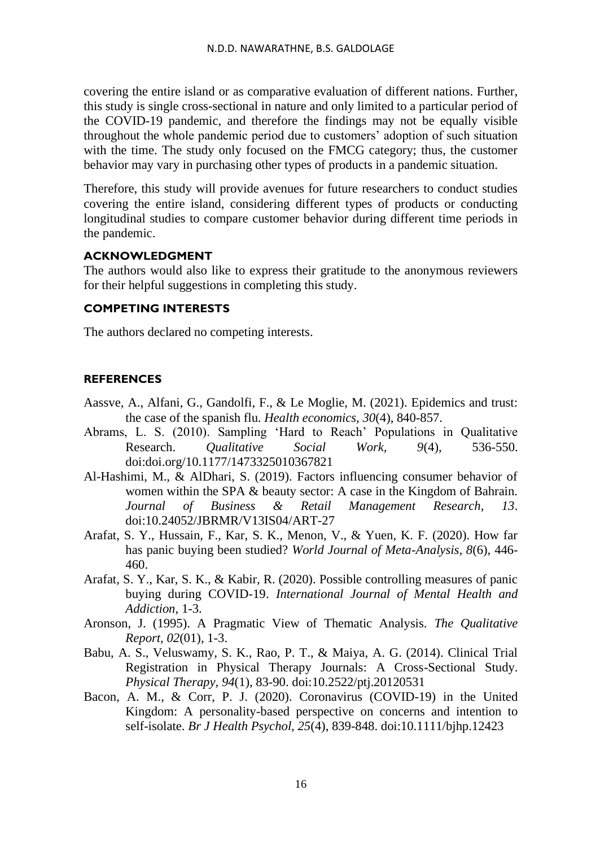covering the entire island or as comparative evaluation of different nations. Further, this study is single cross-sectional in nature and only limited to a particular period of the COVID-19 pandemic, and therefore the findings may not be equally visible throughout the whole pandemic period due to customers' adoption of such situation with the time. The study only focused on the FMCG category; thus, the customer behavior may vary in purchasing other types of products in a pandemic situation.

Therefore, this study will provide avenues for future researchers to conduct studies covering the entire island, considering different types of products or conducting longitudinal studies to compare customer behavior during different time periods in the pandemic.

### **ACKNOWLEDGMENT**

The authors would also like to express their gratitude to the anonymous reviewers for their helpful suggestions in completing this study.

### **COMPETING INTERESTS**

The authors declared no competing interests.

### **REFERENCES**

- Aassve, A., Alfani, G., Gandolfi, F., & Le Moglie, M. (2021). Epidemics and trust: the case of the spanish flu. *Health economics, 30*(4), 840-857.
- Abrams, L. S. (2010). Sampling 'Hard to Reach' Populations in Qualitative Research. *Qualitative Social Work, 9*(4), 536-550. doi:doi.org/10.1177/1473325010367821
- Al-Hashimi, M., & AlDhari, S. (2019). Factors influencing consumer behavior of women within the SPA & beauty sector: A case in the Kingdom of Bahrain. *Journal of Business & Retail Management Research, 13*. doi:10.24052/JBRMR/V13IS04/ART-27
- Arafat, S. Y., Hussain, F., Kar, S. K., Menon, V., & Yuen, K. F. (2020). How far has panic buying been studied? *World Journal of Meta-Analysis, 8*(6), 446- 460.
- Arafat, S. Y., Kar, S. K., & Kabir, R. (2020). Possible controlling measures of panic buying during COVID-19. *International Journal of Mental Health and Addiction*, 1-3.
- Aronson, J. (1995). A Pragmatic View of Thematic Analysis. *The Qualitative Report, 02*(01), 1-3.
- Babu, A. S., Veluswamy, S. K., Rao, P. T., & Maiya, A. G. (2014). Clinical Trial Registration in Physical Therapy Journals: A Cross-Sectional Study. *Physical Therapy, 94*(1), 83-90. doi:10.2522/ptj.20120531
- Bacon, A. M., & Corr, P. J. (2020). Coronavirus (COVID-19) in the United Kingdom: A personality-based perspective on concerns and intention to self-isolate. *Br J Health Psychol, 25*(4), 839-848. doi:10.1111/bjhp.12423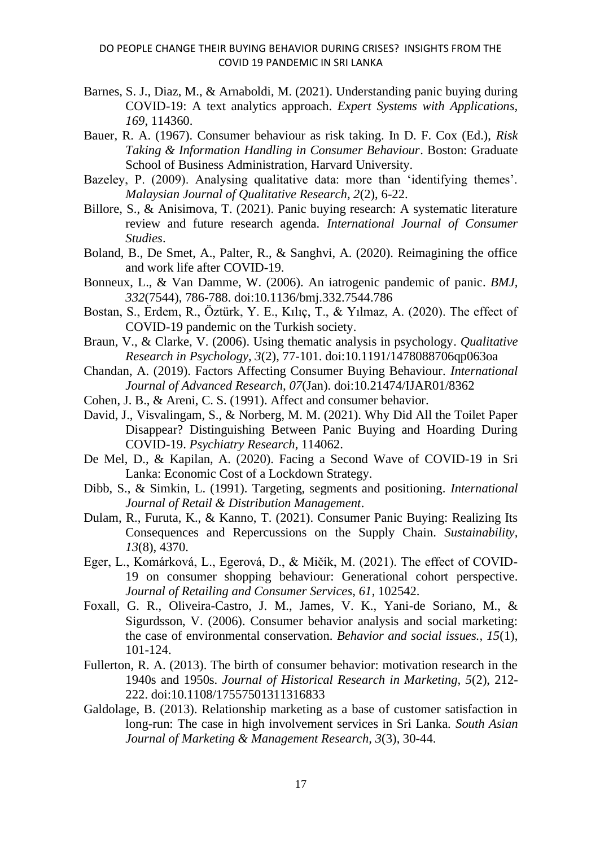- Barnes, S. J., Diaz, M., & Arnaboldi, M. (2021). Understanding panic buying during COVID-19: A text analytics approach. *Expert Systems with Applications, 169*, 114360.
- Bauer, R. A. (1967). Consumer behaviour as risk taking. In D. F. Cox (Ed.), *Risk Taking & Information Handling in Consumer Behaviour*. Boston: Graduate School of Business Administration, Harvard University.
- Bazeley, P. (2009). Analysing qualitative data: more than 'identifying themes'. *Malaysian Journal of Qualitative Research, 2*(2), 6-22.
- Billore, S., & Anisimova, T. (2021). Panic buying research: A systematic literature review and future research agenda. *International Journal of Consumer Studies*.
- Boland, B., De Smet, A., Palter, R., & Sanghvi, A. (2020). Reimagining the office and work life after COVID-19.
- Bonneux, L., & Van Damme, W. (2006). An iatrogenic pandemic of panic. *BMJ, 332*(7544), 786-788. doi:10.1136/bmj.332.7544.786
- Bostan, S., Erdem, R., Öztürk, Y. E., Kılıç, T., & Yılmaz, A. (2020). The effect of COVID-19 pandemic on the Turkish society.
- Braun, V., & Clarke, V. (2006). Using thematic analysis in psychology. *Qualitative Research in Psychology, 3*(2), 77-101. doi:10.1191/1478088706qp063oa
- Chandan, A. (2019). Factors Affecting Consumer Buying Behaviour. *International Journal of Advanced Research, 07*(Jan). doi:10.21474/IJAR01/8362
- Cohen, J. B., & Areni, C. S. (1991). Affect and consumer behavior.
- David, J., Visvalingam, S., & Norberg, M. M. (2021). Why Did All the Toilet Paper Disappear? Distinguishing Between Panic Buying and Hoarding During COVID-19. *Psychiatry Research*, 114062.
- De Mel, D., & Kapilan, A. (2020). Facing a Second Wave of COVID-19 in Sri Lanka: Economic Cost of a Lockdown Strategy.
- Dibb, S., & Simkin, L. (1991). Targeting, segments and positioning. *International Journal of Retail & Distribution Management*.
- Dulam, R., Furuta, K., & Kanno, T. (2021). Consumer Panic Buying: Realizing Its Consequences and Repercussions on the Supply Chain. *Sustainability, 13*(8), 4370.
- Eger, L., Komárková, L., Egerová, D., & Mičík, M. (2021). The effect of COVID-19 on consumer shopping behaviour: Generational cohort perspective. *Journal of Retailing and Consumer Services, 61*, 102542.
- Foxall, G. R., Oliveira-Castro, J. M., James, V. K., Yani-de Soriano, M., & Sigurdsson, V. (2006). Consumer behavior analysis and social marketing: the case of environmental conservation. *Behavior and social issues., 15*(1), 101-124.
- Fullerton, R. A. (2013). The birth of consumer behavior: motivation research in the 1940s and 1950s. *Journal of Historical Research in Marketing, 5*(2), 212- 222. doi:10.1108/17557501311316833
- Galdolage, B. (2013). Relationship marketing as a base of customer satisfaction in long-run: The case in high involvement services in Sri Lanka. *South Asian Journal of Marketing & Management Research, 3*(3), 30-44.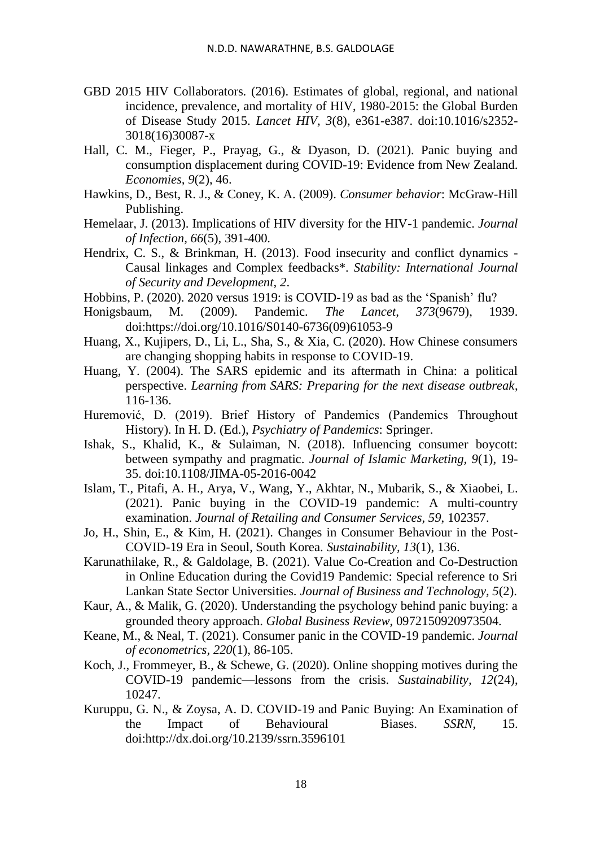- GBD 2015 HIV Collaborators. (2016). Estimates of global, regional, and national incidence, prevalence, and mortality of HIV, 1980-2015: the Global Burden of Disease Study 2015. *Lancet HIV, 3*(8), e361-e387. doi:10.1016/s2352- 3018(16)30087-x
- Hall, C. M., Fieger, P., Prayag, G., & Dyason, D. (2021). Panic buying and consumption displacement during COVID-19: Evidence from New Zealand. *Economies, 9*(2), 46.
- Hawkins, D., Best, R. J., & Coney, K. A. (2009). *Consumer behavior*: McGraw-Hill Publishing.
- Hemelaar, J. (2013). Implications of HIV diversity for the HIV-1 pandemic. *Journal of Infection, 66*(5), 391-400.
- Hendrix, C. S., & Brinkman, H. (2013). Food insecurity and conflict dynamics Causal linkages and Complex feedbacks\*. *Stability: International Journal of Security and Development, 2*.
- Hobbins, P. (2020). 2020 versus 1919: is COVID-19 as bad as the 'Spanish' flu?<br>Honigsbaum, M. (2009). Pandemic. *The Lancet*, 373(9679), 19
- Honigsbaum, M. (2009). Pandemic. *The Lancet, 373*(9679), 1939. doi[:https://doi.org/10.1016/S0140-6736\(09\)61053-9](https://doi.org/10.1016/S0140-6736(09)61053-9)
- Huang, X., Kujipers, D., Li, L., Sha, S., & Xia, C. (2020). How Chinese consumers are changing shopping habits in response to COVID-19.
- Huang, Y. (2004). The SARS epidemic and its aftermath in China: a political perspective. *Learning from SARS: Preparing for the next disease outbreak*, 116-136.
- Huremović, D. (2019). Brief History of Pandemics (Pandemics Throughout History). In H. D. (Ed.), *Psychiatry of Pandemics*: Springer.
- Ishak, S., Khalid, K., & Sulaiman, N. (2018). Influencing consumer boycott: between sympathy and pragmatic. *Journal of Islamic Marketing, 9*(1), 19- 35. doi:10.1108/JIMA-05-2016-0042
- Islam, T., Pitafi, A. H., Arya, V., Wang, Y., Akhtar, N., Mubarik, S., & Xiaobei, L. (2021). Panic buying in the COVID-19 pandemic: A multi-country examination. *Journal of Retailing and Consumer Services, 59*, 102357.
- Jo, H., Shin, E., & Kim, H. (2021). Changes in Consumer Behaviour in the Post-COVID-19 Era in Seoul, South Korea. *Sustainability, 13*(1), 136.
- Karunathilake, R., & Galdolage, B. (2021). Value Co-Creation and Co-Destruction in Online Education during the Covid19 Pandemic: Special reference to Sri Lankan State Sector Universities. *Journal of Business and Technology, 5*(2).
- Kaur, A., & Malik, G. (2020). Understanding the psychology behind panic buying: a grounded theory approach. *Global Business Review*, 0972150920973504.
- Keane, M., & Neal, T. (2021). Consumer panic in the COVID-19 pandemic. *Journal of econometrics, 220*(1), 86-105.
- Koch, J., Frommeyer, B., & Schewe, G. (2020). Online shopping motives during the COVID-19 pandemic—lessons from the crisis. *Sustainability, 12*(24), 10247.
- Kuruppu, G. N., & Zoysa, A. D. COVID-19 and Panic Buying: An Examination of the Impact of Behavioural Biases. *SSRN*, 15. doi[:http://dx.doi.org/10.2139/ssrn.3596101](http://dx.doi.org/10.2139/ssrn.3596101)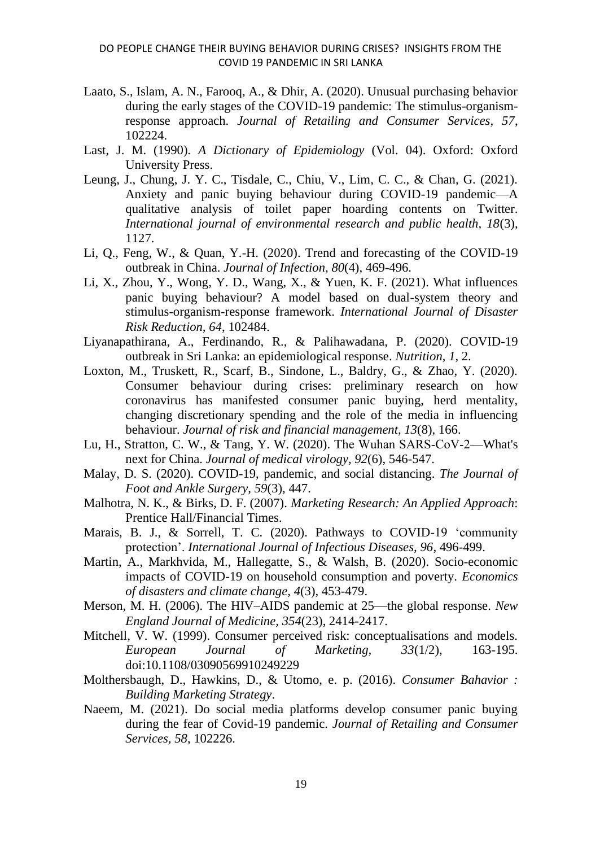- Laato, S., Islam, A. N., Farooq, A., & Dhir, A. (2020). Unusual purchasing behavior during the early stages of the COVID-19 pandemic: The stimulus-organismresponse approach. *Journal of Retailing and Consumer Services, 57*, 102224.
- Last, J. M. (1990). *A Dictionary of Epidemiology* (Vol. 04). Oxford: Oxford University Press.
- Leung, J., Chung, J. Y. C., Tisdale, C., Chiu, V., Lim, C. C., & Chan, G. (2021). Anxiety and panic buying behaviour during COVID-19 pandemic—A qualitative analysis of toilet paper hoarding contents on Twitter. *International journal of environmental research and public health, 18*(3), 1127.
- Li, Q., Feng, W., & Quan, Y.-H. (2020). Trend and forecasting of the COVID-19 outbreak in China. *Journal of Infection, 80*(4), 469-496.
- Li, X., Zhou, Y., Wong, Y. D., Wang, X., & Yuen, K. F. (2021). What influences panic buying behaviour? A model based on dual-system theory and stimulus-organism-response framework. *International Journal of Disaster Risk Reduction, 64*, 102484.
- Liyanapathirana, A., Ferdinando, R., & Palihawadana, P. (2020). COVID-19 outbreak in Sri Lanka: an epidemiological response. *Nutrition, 1*, 2.
- Loxton, M., Truskett, R., Scarf, B., Sindone, L., Baldry, G., & Zhao, Y. (2020). Consumer behaviour during crises: preliminary research on how coronavirus has manifested consumer panic buying, herd mentality, changing discretionary spending and the role of the media in influencing behaviour. *Journal of risk and financial management, 13*(8), 166.
- Lu, H., Stratton, C. W., & Tang, Y. W. (2020). The Wuhan SARS‐CoV‐2—What's next for China. *Journal of medical virology, 92*(6), 546-547.
- Malay, D. S. (2020). COVID-19, pandemic, and social distancing. *The Journal of Foot and Ankle Surgery, 59*(3), 447.
- Malhotra, N. K., & Birks, D. F. (2007). *Marketing Research: An Applied Approach*: Prentice Hall/Financial Times.
- Marais, B. J., & Sorrell, T. C. (2020). Pathways to COVID-19 'community protection'. *International Journal of Infectious Diseases, 96*, 496-499.
- Martin, A., Markhvida, M., Hallegatte, S., & Walsh, B. (2020). Socio-economic impacts of COVID-19 on household consumption and poverty. *Economics of disasters and climate change, 4*(3), 453-479.
- Merson, M. H. (2006). The HIV–AIDS pandemic at 25—the global response. *New England Journal of Medicine, 354*(23), 2414-2417.
- Mitchell, V. W. (1999). Consumer perceived risk: conceptualisations and models. *European Journal of Marketing, 33*(1/2), 163-195. doi:10.1108/03090569910249229
- Molthersbaugh, D., Hawkins, D., & Utomo, e. p. (2016). *Consumer Bahavior : Building Marketing Strategy*.
- Naeem, M. (2021). Do social media platforms develop consumer panic buying during the fear of Covid-19 pandemic. *Journal of Retailing and Consumer Services, 58*, 102226.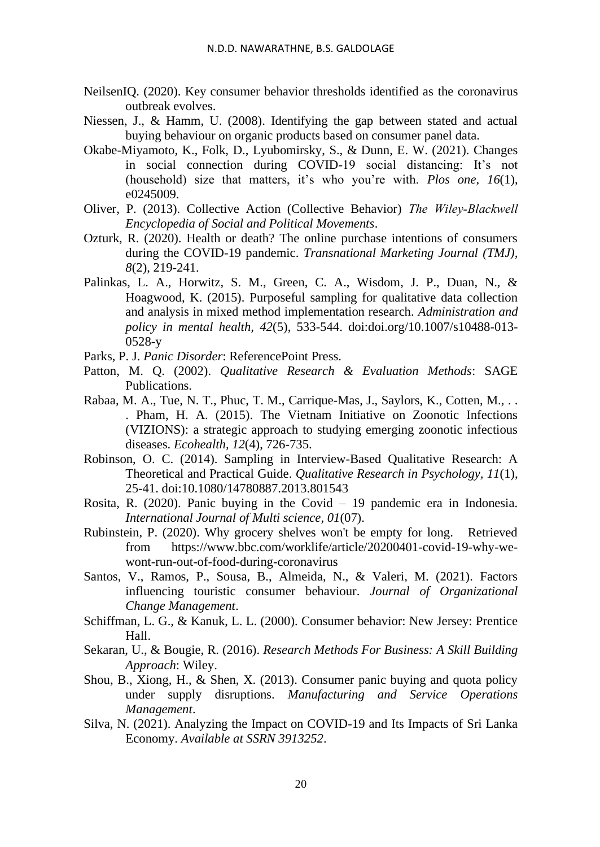- NeilsenIQ. (2020). Key consumer behavior thresholds identified as the coronavirus outbreak evolves.
- Niessen, J., & Hamm, U. (2008). Identifying the gap between stated and actual buying behaviour on organic products based on consumer panel data.
- Okabe-Miyamoto, K., Folk, D., Lyubomirsky, S., & Dunn, E. W. (2021). Changes in social connection during COVID-19 social distancing: It's not (household) size that matters, it's who you're with. *Plos one, 16*(1), e0245009.
- Oliver, P. (2013). Collective Action (Collective Behavior) *The Wiley‐Blackwell Encyclopedia of Social and Political Movements*.
- Ozturk, R. (2020). Health or death? The online purchase intentions of consumers during the COVID-19 pandemic. *Transnational Marketing Journal (TMJ), 8*(2), 219-241.
- Palinkas, L. A., Horwitz, S. M., Green, C. A., Wisdom, J. P., Duan, N., & Hoagwood, K. (2015). Purposeful sampling for qualitative data collection and analysis in mixed method implementation research. *Administration and policy in mental health, 42*(5), 533-544. doi:doi.org/10.1007/s10488-013- 0528-y
- Parks, P. J. *Panic Disorder*: ReferencePoint Press.
- Patton, M. Q. (2002). *Qualitative Research & Evaluation Methods*: SAGE Publications.
- Rabaa, M. A., Tue, N. T., Phuc, T. M., Carrique-Mas, J., Saylors, K., Cotten, M., .. . Pham, H. A. (2015). The Vietnam Initiative on Zoonotic Infections (VIZIONS): a strategic approach to studying emerging zoonotic infectious diseases. *Ecohealth, 12*(4), 726-735.
- Robinson, O. C. (2014). Sampling in Interview-Based Qualitative Research: A Theoretical and Practical Guide. *Qualitative Research in Psychology, 11*(1), 25-41. doi:10.1080/14780887.2013.801543
- Rosita, R. (2020). Panic buying in the Covid 19 pandemic era in Indonesia. *International Journal of Multi science, 01*(07).
- Rubinstein, P. (2020). Why grocery shelves won't be empty for long. Retrieved from [https://www.bbc.com/worklife/article/20200401-covid-19-why-we](https://www.bbc.com/worklife/article/20200401-covid-19-why-we-wont-run-out-of-food-during-coronavirus)[wont-run-out-of-food-during-coronavirus](https://www.bbc.com/worklife/article/20200401-covid-19-why-we-wont-run-out-of-food-during-coronavirus)
- Santos, V., Ramos, P., Sousa, B., Almeida, N., & Valeri, M. (2021). Factors influencing touristic consumer behaviour. *Journal of Organizational Change Management*.
- Schiffman, L. G., & Kanuk, L. L. (2000). Consumer behavior: New Jersey: Prentice Hall.
- Sekaran, U., & Bougie, R. (2016). *Research Methods For Business: A Skill Building Approach*: Wiley.
- Shou, B., Xiong, H., & Shen, X. (2013). Consumer panic buying and quota policy under supply disruptions. *Manufacturing and Service Operations Management*.
- Silva, N. (2021). Analyzing the Impact on COVID-19 and Its Impacts of Sri Lanka Economy. *Available at SSRN 3913252*.